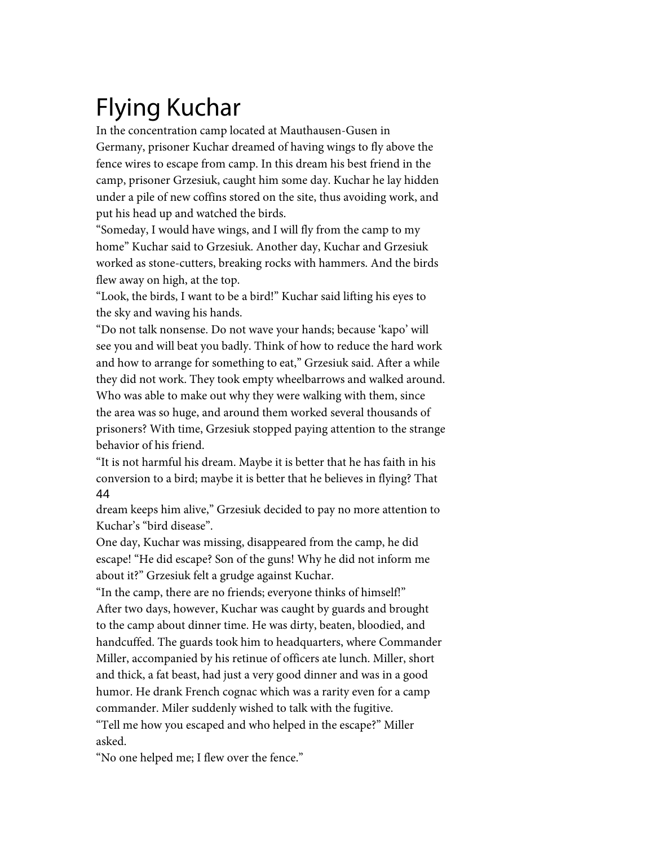## Flying Kuchar

In the concentration camp located at Mauthausen-Gusen in Germany, prisoner Kuchar dreamed of having wings to fly above the fence wires to escape from camp. In this dream his best friend in the camp, prisoner Grzesiuk, caught him some day. Kuchar he lay hidden under a pile of new coffins stored on the site, thus avoiding work, and put his head up and watched the birds.

''Someday, I would have wings, and I will fly from the camp to my home'' Kuchar said to Grzesiuk. Another day, Kuchar and Grzesiuk worked as stone-cutters, breaking rocks with hammers. And the birds flew away on high, at the top.

''Look, the birds, I want to be a bird!'' Kuchar said lifting his eyes to the sky and waving his hands.

''Do not talk nonsense. Do not wave your hands; because 'kapo' will see you and will beat you badly. Think of how to reduce the hard work and how to arrange for something to eat," Grzesiuk said. After a while they did not work. They took empty wheelbarrows and walked around. Who was able to make out why they were walking with them, since the area was so huge, and around them worked several thousands of prisoners? With time, Grzesiuk stopped paying attention to the strange behavior of his friend.

''It is not harmful his dream. Maybe it is better that he has faith in his conversion to a bird; maybe it is better that he believes in flying? That 44

dream keeps him alive,'' Grzesiuk decided to pay no more attention to Kuchar's "bird disease".

One day, Kuchar was missing, disappeared from the camp, he did escape! ''He did escape? Son of the guns! Why he did not inform me about it?'' Grzesiuk felt a grudge against Kuchar.

''In the camp, there are no friends; everyone thinks of himself!'' After two days, however, Kuchar was caught by guards and brought to the camp about dinner time. He was dirty, beaten, bloodied, and handcuffed. The guards took him to headquarters, where Commander Miller, accompanied by his retinue of officers ate lunch. Miller, short and thick, a fat beast, had just a very good dinner and was in a good humor. He drank French cognac which was a rarity even for a camp commander. Miler suddenly wished to talk with the fugitive. ''Tell me how you escaped and who helped in the escape?'' Miller asked.

''No one helped me; I flew over the fence.''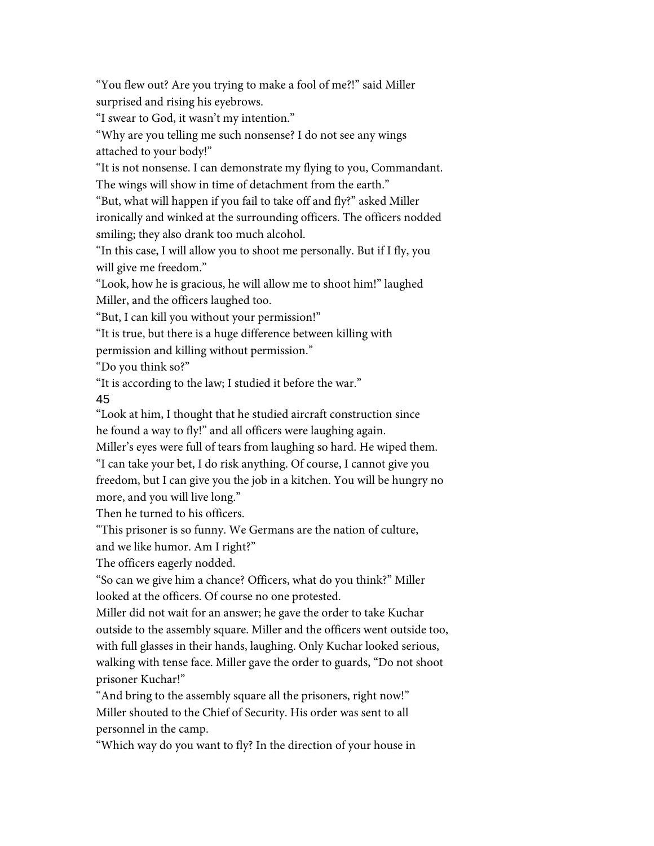"You flew out? Are you trying to make a fool of me?!" said Miller surprised and rising his eyebrows.

''I swear to God, it wasn't my intention.''

''Why are you telling me such nonsense? I do not see any wings attached to your body!''

''It is not nonsense. I can demonstrate my flying to you, Commandant. The wings will show in time of detachment from the earth."

''But, what will happen if you fail to take off and fly?'' asked Miller ironically and winked at the surrounding officers. The officers nodded smiling; they also drank too much alcohol.

''In this case, I will allow you to shoot me personally. But if I fly, you will give me freedom."

''Look, how he is gracious, he will allow me to shoot him!'' laughed Miller, and the officers laughed too.

''But, I can kill you without your permission!''

''It is true, but there is a huge difference between killing with

permission and killing without permission.''

''Do you think so?''

''It is according to the law; I studied it before the war.''

45

''Look at him, I thought that he studied aircraft construction since he found a way to fly!'' and all officers were laughing again.

Miller's eyes were full of tears from laughing so hard. He wiped them.

''I can take your bet, I do risk anything. Of course, I cannot give you freedom, but I can give you the job in a kitchen. You will be hungry no more, and you will live long.''

Then he turned to his officers.

''This prisoner is so funny. We Germans are the nation of culture,

and we like humor. Am I right?''

The officers eagerly nodded.

''So can we give him a chance? Officers, what do you think?'' Miller looked at the officers. Of course no one protested.

Miller did not wait for an answer; he gave the order to take Kuchar outside to the assembly square. Miller and the officers went outside too, with full glasses in their hands, laughing. Only Kuchar looked serious, walking with tense face. Miller gave the order to guards, "Do not shoot prisoner Kuchar!''

"And bring to the assembly square all the prisoners, right now!" Miller shouted to the Chief of Security. His order was sent to all personnel in the camp.

''Which way do you want to fly? In the direction of your house in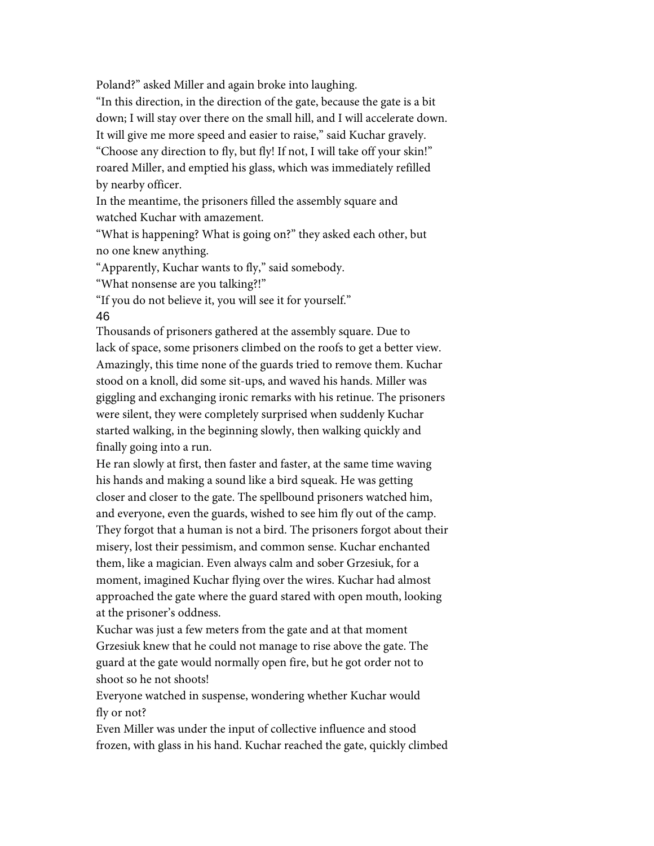Poland?'' asked Miller and again broke into laughing.

''In this direction, in the direction of the gate, because the gate is a bit down; I will stay over there on the small hill, and I will accelerate down.

It will give me more speed and easier to raise," said Kuchar gravely.

"Choose any direction to fly, but fly! If not, I will take off your skin!" roared Miller, and emptied his glass, which was immediately refilled by nearby officer.

In the meantime, the prisoners filled the assembly square and watched Kuchar with amazement.

''What is happening? What is going on?'' they asked each other, but no one knew anything.

"Apparently, Kuchar wants to fly," said somebody.

''What nonsense are you talking?!''

''If you do not believe it, you will see it for yourself.'' 46

Thousands of prisoners gathered at the assembly square. Due to lack of space, some prisoners climbed on the roofs to get a better view. Amazingly, this time none of the guards tried to remove them. Kuchar stood on a knoll, did some sit-ups, and waved his hands. Miller was giggling and exchanging ironic remarks with his retinue. The prisoners were silent, they were completely surprised when suddenly Kuchar started walking, in the beginning slowly, then walking quickly and finally going into a run.

He ran slowly at first, then faster and faster, at the same time waving his hands and making a sound like a bird squeak. He was getting closer and closer to the gate. The spellbound prisoners watched him, and everyone, even the guards, wished to see him fly out of the camp. They forgot that a human is not a bird. The prisoners forgot about their misery, lost their pessimism, and common sense. Kuchar enchanted them, like a magician. Even always calm and sober Grzesiuk, for a moment, imagined Kuchar flying over the wires. Kuchar had almost approached the gate where the guard stared with open mouth, looking at the prisoner's oddness.

Kuchar was just a few meters from the gate and at that moment Grzesiuk knew that he could not manage to rise above the gate. The guard at the gate would normally open fire, but he got order not to shoot so he not shoots!

Everyone watched in suspense, wondering whether Kuchar would fly or not?

Even Miller was under the input of collective influence and stood frozen, with glass in his hand. Kuchar reached the gate, quickly climbed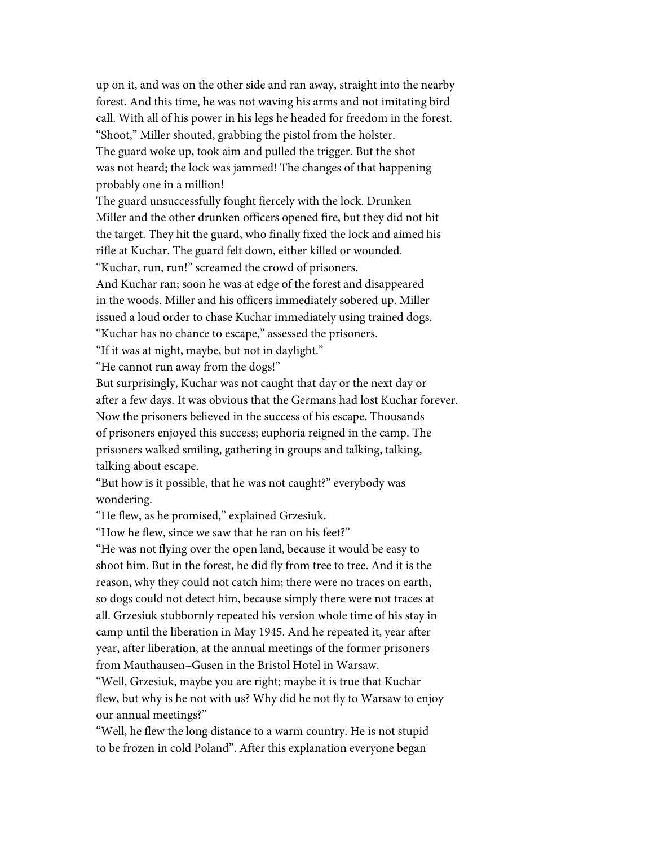up on it, and was on the other side and ran away, straight into the nearby forest. And this time, he was not waving his arms and not imitating bird call. With all of his power in his legs he headed for freedom in the forest. "Shoot," Miller shouted, grabbing the pistol from the holster. The guard woke up, took aim and pulled the trigger. But the shot was not heard; the lock was jammed! The changes of that happening probably one in a million!

The guard unsuccessfully fought fiercely with the lock. Drunken Miller and the other drunken officers opened fire, but they did not hit the target. They hit the guard, who finally fixed the lock and aimed his rifle at Kuchar. The guard felt down, either killed or wounded. ''Kuchar, run, run!'' screamed the crowd of prisoners.

And Kuchar ran; soon he was at edge of the forest and disappeared in the woods. Miller and his officers immediately sobered up. Miller issued a loud order to chase Kuchar immediately using trained dogs. ''Kuchar has no chance to escape,'' assessed the prisoners.

''If it was at night, maybe, but not in daylight.''

''He cannot run away from the dogs!''

But surprisingly, Kuchar was not caught that day or the next day or after a few days. It was obvious that the Germans had lost Kuchar forever. Now the prisoners believed in the success of his escape. Thousands of prisoners enjoyed this success; euphoria reigned in the camp. The prisoners walked smiling, gathering in groups and talking, talking, talking about escape.

"But how is it possible, that he was not caught?" everybody was wondering.

"He flew, as he promised," explained Grzesiuk.

''How he flew, since we saw that he ran on his feet?''

''He was not flying over the open land, because it would be easy to shoot him. But in the forest, he did fly from tree to tree. And it is the reason, why they could not catch him; there were no traces on earth, so dogs could not detect him, because simply there were not traces at all. Grzesiuk stubbornly repeated his version whole time of his stay in camp until the liberation in May 1945. And he repeated it, year after year, after liberation, at the annual meetings of the former prisoners from Mauthausen-Gusen in the Bristol Hotel in Warsaw.

''Well, Grzesiuk, maybe you are right; maybe it is true that Kuchar flew, but why is he not with us? Why did he not fly to Warsaw to enjoy our annual meetings?''

''Well, he flew the long distance to a warm country. He is not stupid to be frozen in cold Poland''. After this explanation everyone began